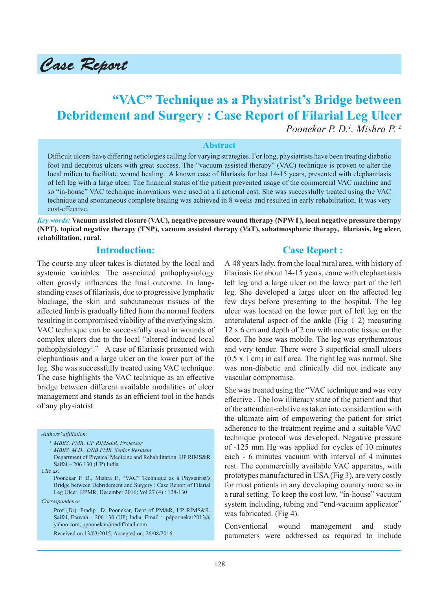

# **"VAC" Technique as a Physiatrist's Bridge between Debridement and Surgery : Case Report of Filarial Leg Ulcer** *Poonekar P. D.1 , Mishra P. 2*

#### **Abstract**

Difficult ulcers have differing aetiologies calling for varying strategies. For long, physiatrists have been treating diabetic foot and decubitus ulcers with great success. The "vacuum assisted therapy" (VAC) technique is proven to alter the local milieu to facilitate wound healing. A known case of filariasis for last 14-15 years, presented with elephantiasis of left leg with a large ulcer. The financial status of the patient prevented usage of the commercial VAC machine and so "in-house" VAC technique innovations were used at a fractional cost. She was successfully treated using the VAC technique and spontaneous complete healing was achieved in 8 weeks and resulted in early rehabilitation. It was very cost-effective.

*Key words:* **Vacuum assisted closure (VAC), negative pressure wound therapy (NPWT), local negative pressure therapy (NPT), topical negative therapy (TNP), vacuum assisted therapy (VaT), subatmospheric therapy, filariasis, leg ulcer, rehabilitation, rural.**

# **Introduction:**

The course any ulcer takes is dictated by the local and systemic variables. The associated pathophysiology often grossly influences the final outcome. In longstanding cases of filariasis, due to progressive lymphatic blockage, the skin and subcutaneous tissues of the affected limb is gradually lifted from the normal feeders resulting in compromised viability of the overlying skin. VAC technique can be successfully used in wounds of complex ulcers due to the local "altered induced local pathophysiology<sup>1</sup>." A case of filariasis presented with elephantiasis and a large ulcer on the lower part of the leg. She was successfully treated using VAC technique. The case highlights the VAC technique as an effective bridge between different available modalities of ulcer management and stands as an efficient tool in the hands of any physiatrist.

#### *Authors' affiliation:*

- *1 MBBS, PMR, UP RIMS&R, Professor*
- *2 MBBS, M.D., DNB PMR, Senior Resident*
- Department of Physical Medicine and Rehabilitation, UP RIMS&R Saifai – 206 130 (UP) India
- *Cite as:*

*Correspondence:*

Prof (Dr). Pradip D. Poonekar, Dept of PM&R, UP RIMS&R, Saifai, Etawah – 206 130 (UP) India. Email : pdpoonekar2013@ yahoo.com, ppoonekar@rediffmail.com

Received on 13/03/2015, Accepted on, 26/08/2016

# **Case Report :**

A 48 years lady, from the local rural area, with history of filariasis for about 14-15 years, came with elephantiasis left leg and a large ulcer on the lower part of the left leg. She developed a large ulcer on the affected leg few days before presenting to the hospital. The leg ulcer was located on the lower part of left leg on the anterolateral aspect of the ankle (Fig 1 2) measuring 12 x 6 cm and depth of 2 cm with necrotic tissue on the floor. The base was mobile. The leg was erythematous and very tender. There were 3 superficial small ulcers (0.5 x 1 cm) in calf area. The right leg was normal. She was non-diabetic and clinically did not indicate any vascular compromise.

She was treated using the "VAC technique and was very effective . The low illiteracy state of the patient and that of the attendant-relative as taken into consideration with the ultimate aim of empowering the patient for strict adherence to the treatment regime and a suitable VAC technique protocol was developed. Negative pressure of -125 mm Hg was applied for cycles of 10 minutes each - 6 minutes vacuum with interval of 4 minutes rest. The commercially available VAC apparatus, with prototypes manufactured in USA (Fig 3), are very costly for most patients in any developing country more so in a rural setting. To keep the cost low, "in-house" vacuum system including, tubing and "end-vacuum applicator" was fabricated. (Fig 4).

Conventional wound management and study parameters were addressed as required to include

Poonekar P. D., Mishra P., "VAC" Technique as a Physiatrist's Bridge between Debridement and Surgery : Case Report of Filarial Leg Ulcer. IJPMR, December 2016; Vol 27 (4) : 128-130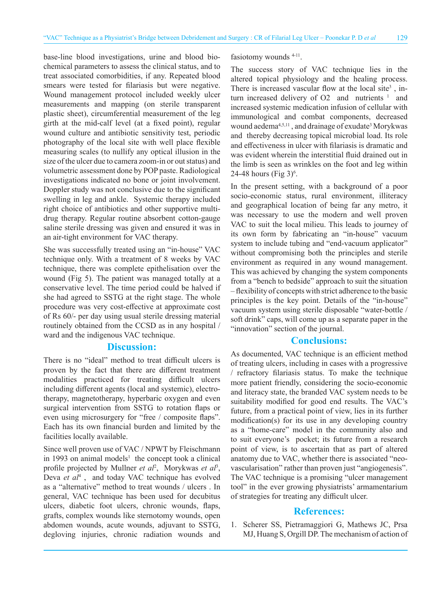base-line blood investigations, urine and blood biochemical parameters to assess the clinical status, and to treat associated comorbidities, if any. Repeated blood smears were tested for filariasis but were negative. Wound management protocol included weekly ulcer measurements and mapping (on sterile transparent plastic sheet), circumferential measurement of the leg girth at the mid-calf level (at a fixed point), regular wound culture and antibiotic sensitivity test, periodic photography of the local site with well place flexible measuring scales (to nullify any optical illusion in the size of the ulcer due to camera zoom-in or out status) and volumetric assessment done by POP paste. Radiological investigations indicated no bone or joint involvement. Doppler study was not conclusive due to the significant swelling in leg and ankle. Systemic therapy included right choice of antibiotics and other supportive multidrug therapy. Regular routine absorbent cotton-gauge saline sterile dressing was given and ensured it was in an air-tight environment for VAC therapy.

She was successfully treated using an "in-house" VAC technique only. With a treatment of 8 weeks by VAC technique, there was complete epithelisation over the wound (Fig 5). The patient was managed totally at a conservative level. The time period could be halved if she had agreed to SSTG at the right stage. The whole procedure was very cost-effective at approximate cost of Rs 60/- per day using usual sterile dressing material routinely obtained from the CCSD as in any hospital / ward and the indigenous VAC technique.

### **Discussion:**

There is no "ideal" method to treat difficult ulcers is proven by the fact that there are different treatment modalities practiced for treating difficult ulcers including different agents (local and systemic), electrotherapy, magnetotherapy, hyperbaric oxygen and even surgical intervention from SSTG to rotation flaps or even using microsurgery for "free / composite flaps". Each has its own financial burden and limited by the facilities locally available.

Since well proven use of VAC / NPWT by Fleischmann in 1993 on animal models<sup>1</sup> the concept took a clinical profile projected by Mullner *et al<sup>2</sup>*, Morykwas *et al<sup>3</sup>*, Deva et al<sup>4</sup>, and today VAC technique has evolved as a "alternative" method to treat wounds / ulcers . In general, VAC technique has been used for decubitus ulcers, diabetic foot ulcers, chronic wounds, flaps, grafts, complex wounds like sternotomy wounds, open abdomen wounds, acute wounds, adjuvant to SSTG, degloving injuries, chronic radiation wounds and

fasiotomy wounds <sup>4-11</sup>.

The success story of VAC technique lies in the altered topical physiology and the healing process. There is increased vascular flow at the local site<sup>3</sup>, inturn increased delivery of O2 and nutrients  $1$  and increased systemic medication infusion of cellular with immunological and combat components, decreased wound aedema<sup>4,5,11</sup>, and drainage of exudate<sup>3</sup> Morykwas and thereby decreasing topical microbial load. Its role and effectiveness in ulcer with filariasis is dramatic and was evident wherein the interstitial fluid drained out in the limb is seen as wrinkles on the foot and leg within 24-48 hours (Fig 3)<sup>6</sup>.

In the present setting, with a background of a poor socio-economic status, rural environment, illiteracy and geographical location of being far any metro, it was necessary to use the modern and well proven VAC to suit the local milieu. This leads to journey of its own form by fabricating an "in-house" vacuum system to include tubing and "end-vacuum applicator" without compromising both the principles and sterile environment as required in any wound management. This was achieved by changing the system components from a "bench to bedside" approach to suit the situation – flexibility of concepts with strict adherence to the basic principles is the key point. Details of the "in-house" vacuum system using sterile disposable "water-bottle / soft drink" caps, will come up as a separate paper in the "innovation" section of the journal.

#### **Conclusions:**

As documented, VAC technique is an efficient method of treating ulcers, including in cases with a progressive / refractory filariasis status. To make the technique more patient friendly, considering the socio-economic and literacy state, the branded VAC system needs to be suitability modified for good end results. The VAC's future, from a practical point of view, lies in its further modification(s) for its use in any developing country as a "home-care" model in the community also and to suit everyone's pocket; its future from a research point of view, is to ascertain that as part of altered anatomy due to VAC, whether there is associated "neovascularisation" rather than proven just "angiogenesis". The VAC technique is a promising "ulcer management tool" in the ever growing physiatrists' armamentarium of strategies for treating any difficult ulcer.

### **References:**

1. Scherer SS, Pietramaggiori G, Mathews JC, Prsa MJ, Huang S, Orgill DP. The mechanism of action of